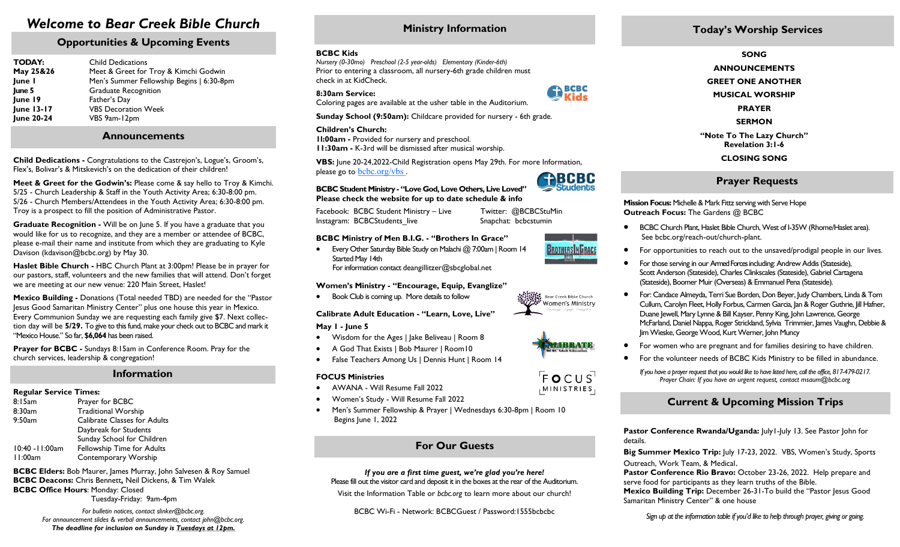# *Welcome to Bear Creek Bible Church*

# **Opportunities & Upcoming Events**

| <b>TODAY:</b><br>May 25&26<br>June I<br>June 5<br>June 19<br>June 13-17<br><b>June 20-24</b> | <b>Child Dedications</b><br>Meet & Greet for Troy & Kimchi Godwin<br>Men's Summer Fellowship Begins   6:30-8pm<br><b>Graduate Recognition</b><br>Father's Day<br><b>VBS Decoration Week</b> |
|----------------------------------------------------------------------------------------------|---------------------------------------------------------------------------------------------------------------------------------------------------------------------------------------------|
|                                                                                              | VBS 9am-12pm                                                                                                                                                                                |

### **Announcements**

**Child Dedications -** Congratulations to the Castrejon's, Logue's, Groom's, Flex's, Bolivar's & Mitskevich's on the dedication of their children!

**Meet & Greet for the Godwin's:** Please come & say hello to Troy & Kimchi. 5/25 - Church Leadership & Staff in the Youth Activity Area; 6:30-8:00 pm. 5/26 - Church Members/Attendees in the Youth Activity Area; 6:30-8:00 pm. Troy is a prospect to fill the position of Administrative Pastor.

**Graduate Recognition -** Will be on June 5. If you have a graduate that you would like for us to recognize, and they are a member or attendee of BCBC, please e-mail their name and institute from which they are graduating to Kyle Davison (kdavison@bcbc.org) by May 30.

**Haslet Bible Church -** HBC Church Plant at 3:00pm! Please be in prayer for our pastors, staff, volunteers and the new families that will attend. Don't forget we are meeting at our new venue: 220 Main Street, Haslet!

**Mexico Building -** Donations (Total needed TBD) are needed for the "Pastor Jesus Good Samaritan Ministry Center" plus one house this year in Mexico. Every Communion Sunday we are requesting each family give \$7. Next collection day will be **5/29.** To give to this fund, make your check out to BCBC and mark it "Mexico House." So far, **\$6,064** has been raised.

**Prayer for BCBC** - Sundays 8:15am in Conference Room. Pray for the church services, leadership & congregation!

### **Information**

#### **Regular Service Times:**

| 8:15am          | Prayer for BCBC                     |  |
|-----------------|-------------------------------------|--|
| 8:30am          | <b>Traditional Worship</b>          |  |
| 9:50am          | <b>Calibrate Classes for Adults</b> |  |
|                 | Daybreak for Students               |  |
|                 | Sunday School for Children          |  |
| 10:40 - 11:00am | Fellowship Time for Adults          |  |
| 11:00am         | Contemporary Worship                |  |
|                 |                                     |  |

**BCBC Elders:** Bob Maurer, James Murray, John Salvesen & Roy Samuel **BCBC Deacons:** Chris Bennett**,** Neil Dickens, & Tim Walek **BCBC Office Hours**: Monday: Closed Tuesday-Friday: 9am-4pm

> *For bulletin notices, contact slinker@bcbc.org. For announcement slides & verbal announcements, contact john@bcbc.org. The deadline for inclusion on Sunday is Tuesdays at 12pm.*

# **Ministry Information**

#### **BCBC Kids**

*Nursery (0-30mo) Preschool (2-5 year-olds) Elementary (Kinder-6th)* Prior to entering a classroom, all nursery-6th grade children must check in at KidCheck.

#### **8:30am Service:**

Coloring pages are available at the usher table in the Auditorium.

**Sunday School (9:50am):** Childcare provided for nursery - 6th grade.

#### **Children's Church:**

**1l:00am -** Provided for nursery and preschool. **11:30am -** K-3rd will be dismissed after musical worship.

**VBS:** June 20-24,2022-Child Registration opens May 29th. For more Information, please go to bcbc.org/vbs. **ENBCBC** 

**BCBC Student Ministry - "Love God, Love Others, Live Loved" Please check the website for up to date schedule & info**

Facebook: BCBC Student Ministry – Live Twitter: @BCBCStuMin Instagram: BCBCStudents live Snapchat: bcbcstumin

#### **BCBC Ministry of Men B.I.G. - "Brothers In Grace"**

 Every Other Saturday Bible Study on Malachi @ 7:00am | Room 14 Started May 14th For information contact [deangillitzer@sbcglobal.net](mailto:deangillitzer@sbcglobal.net) 

#### **Women's Ministry - "Encourage, Equip, Evanglize"**

Book Club is coming up. More details to follow

#### **Calibrate Adult Education - "Learn, Love, Live"**

#### **May 1 - June 5**

- Wisdom for the Ages | Jake Beliveau | Room 8
- A God That Exists | Bob Maurer | Room10
- False Teachers Among Us | Dennis Hunt | Room 14

#### **FOCUS Ministries**

- AWANA Will Resume Fall 2022
- Women's Study Will Resume Fall 2022
- Men's Summer Fellowship & Prayer | Wednesdays 6:30-8pm | Room 10 Begins June 1, 2022

## **For Our Guests**

*If you are a first time guest, we're glad you're here!*  Please fill out the visitor card and deposit it in the boxes at the rear of the Auditorium.

Visit the Information Table or *bcbc.org* to learn more about our church!

BCBC Wi-Fi - Network: BCBCGuest / Password:1555bcbcbc

# **Today's Worship Services**

**SONG**

- **ANNOUNCEMENTS**
- **GREET ONE ANOTHER**

**MUSICAL WORSHIP**

**PRAYER**

**SERMON**

**"Note To The Lazy Church" Revelation 3:1-6 CLOSING SONG** 

### **Prayer Requests**

**Mission Focus:** Michelle & Mark Fittz serving with Serve Hope **Outreach Focus:** The Gardens @ BCBC

- BCBC Church Plant, Haslet Bible Church, West of I-35W (Rhome/Haslet area). See bcbc.org/reach-out/church-plant.
- For opportunities to reach out to the unsaved/prodigal people in our lives.
- For those serving in our Armed Forces including: Andrew Addis (Stateside), Scott Anderson (Stateside), Charles Clinkscales (Stateside), Gabriel Cartagena (Stateside), Boomer Muir (Overseas) & Emmanuel Pena (Stateside).
- For: Candace Almeyda, Terri Sue Borden, Don Beyer, Judy Chambers, Linda & Tom Cullum, Carolyn Fleet, Holly Forbus, Carmen Garcia, Jan & Roger Guthrie, Jill Hafner, Duane Jewell, Mary Lynne & Bill Kayser, Penny King, John Lawrence, George McFarland, Daniel Nappa, Roger Strickland, Sylvia Trimmier, James Vaughn, Debbie & Jim Wieske, George Wood, Kurt Werner, John Muncy
- For women who are pregnant and for families desiring to have children.
- For the volunteer needs of BCBC Kids Ministry to be filled in abundance.
	- *If you have a prayer request that you would like to have listed here, call the office, 817-479-0217. Prayer Chain: If you have an urgent request, contact msaum@bcbc.org*

# **Current & Upcoming Mission Trips**

**Pastor Conference Rwanda/Uganda:** July I -July 13. See Pastor John for details.

**Big Summer Mexico Trip:** July 17-23, 2022. VBS, Women's Study, Sports Outreach, Work Team, & Medical.

**Pastor Conference Rio Bravo:** October 23-26, 2022. Help prepare and serve food for participants as they learn truths of the Bible.

**Mexico Building Trip:** December 26-31-To build the "Pastor Jesus Good Samaritan Ministry Center" & one house

*Sign up at the information table if you'd like to help through prayer, giving or going.*



Students

**PA BCBC** 



Bear Creek Bible Church



 $F \circ C \cup S$ MINISTRIES,